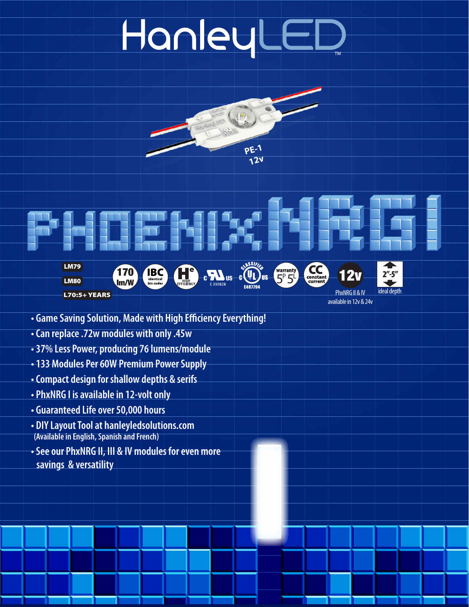# HanleyLEI















PhxNRG II & IV available in 12v & 24v

- **Game Saving Solution, Made with High Efficiency Everything!**
- **Can replace .72w modules with only .45w**
- **37% Less Power, producing 76 lumens/module**
- **133 Modules Per 60W Premium Power Supply**
- **Compact design for shallow depths & serifs**
- **PhxNRG I is available in 12-volt only**
- **Guaranteed Life over 50,000 hours**
- **DIY Layout Tool at hanleyledsolutions.com (Available in English, Spanish and French)**
- **See our PhxNRG II, III & IV modules for even more savings & versatility**